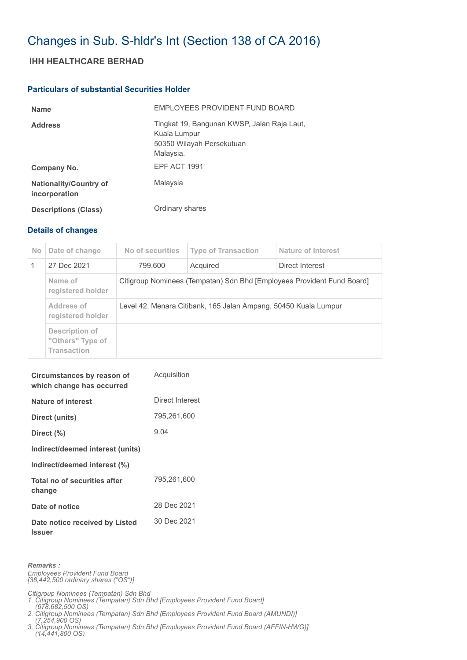## Changes in Sub. S-hldr's Int (Section 138 of CA 2016)

## **IHH HEALTHCARE BERHAD**

## **Particulars of substantial Securities Holder**

| <b>Name</b>                                    | EMPLOYEES PROVIDENT FUND BOARD                                                                        |
|------------------------------------------------|-------------------------------------------------------------------------------------------------------|
| <b>Address</b>                                 | Tingkat 19, Bangunan KWSP, Jalan Raja Laut,<br>Kuala Lumpur<br>50350 Wilayah Persekutuan<br>Malaysia. |
| Company No.                                    | EPF ACT 1991                                                                                          |
| <b>Nationality/Country of</b><br>incorporation | Malaysia                                                                                              |
| <b>Descriptions (Class)</b>                    | Ordinary shares                                                                                       |

## **Details of changes**

| No. | Date of change                                           | No of securities                                                       | <b>Type of Transaction</b> | Nature of Interest |  |  |  |  |  |
|-----|----------------------------------------------------------|------------------------------------------------------------------------|----------------------------|--------------------|--|--|--|--|--|
|     | 27 Dec 2021                                              | 799,600                                                                | Acquired                   | Direct Interest    |  |  |  |  |  |
|     | Name of<br>registered holder                             | Citigroup Nominees (Tempatan) Sdn Bhd [Employees Provident Fund Board] |                            |                    |  |  |  |  |  |
|     | Address of<br>registered holder                          | Level 42, Menara Citibank, 165 Jalan Ampang, 50450 Kuala Lumpur        |                            |                    |  |  |  |  |  |
|     | Description of<br>"Others" Type of<br><b>Transaction</b> |                                                                        |                            |                    |  |  |  |  |  |

| Circumstances by reason of<br>which change has occurred | Acquisition     |  |  |  |  |
|---------------------------------------------------------|-----------------|--|--|--|--|
| <b>Nature of interest</b>                               | Direct Interest |  |  |  |  |
| Direct (units)                                          | 795,261,600     |  |  |  |  |
| Direct $(\% )$                                          | 9.04            |  |  |  |  |
| Indirect/deemed interest (units)                        |                 |  |  |  |  |
| Indirect/deemed interest (%)                            |                 |  |  |  |  |
| Total no of securities after<br>change                  | 795,261,600     |  |  |  |  |
| Date of notice                                          | 28 Dec 2021     |  |  |  |  |
| Date notice received by Listed<br><b>Issuer</b>         | 30 Dec 2021     |  |  |  |  |

*Remarks :*

*Employees Provident Fund Board [38,442,500 ordinary shares ("OS")]*

*Citigroup Nominees (Tempatan) Sdn Bhd 1. Citigroup Nominees (Tempatan) Sdn Bhd [Employees Provident Fund Board]*

 *(678,682,500 OS) 2. Citigroup Nominees (Tempatan) Sdn Bhd [Employees Provident Fund Board (AMUNDI)]* 

 *(7,254,900 OS) 3. Citigroup Nominees (Tempatan) Sdn Bhd [Employees Provident Fund Board (AFFIN-HWG)] (14,441,800 OS)*